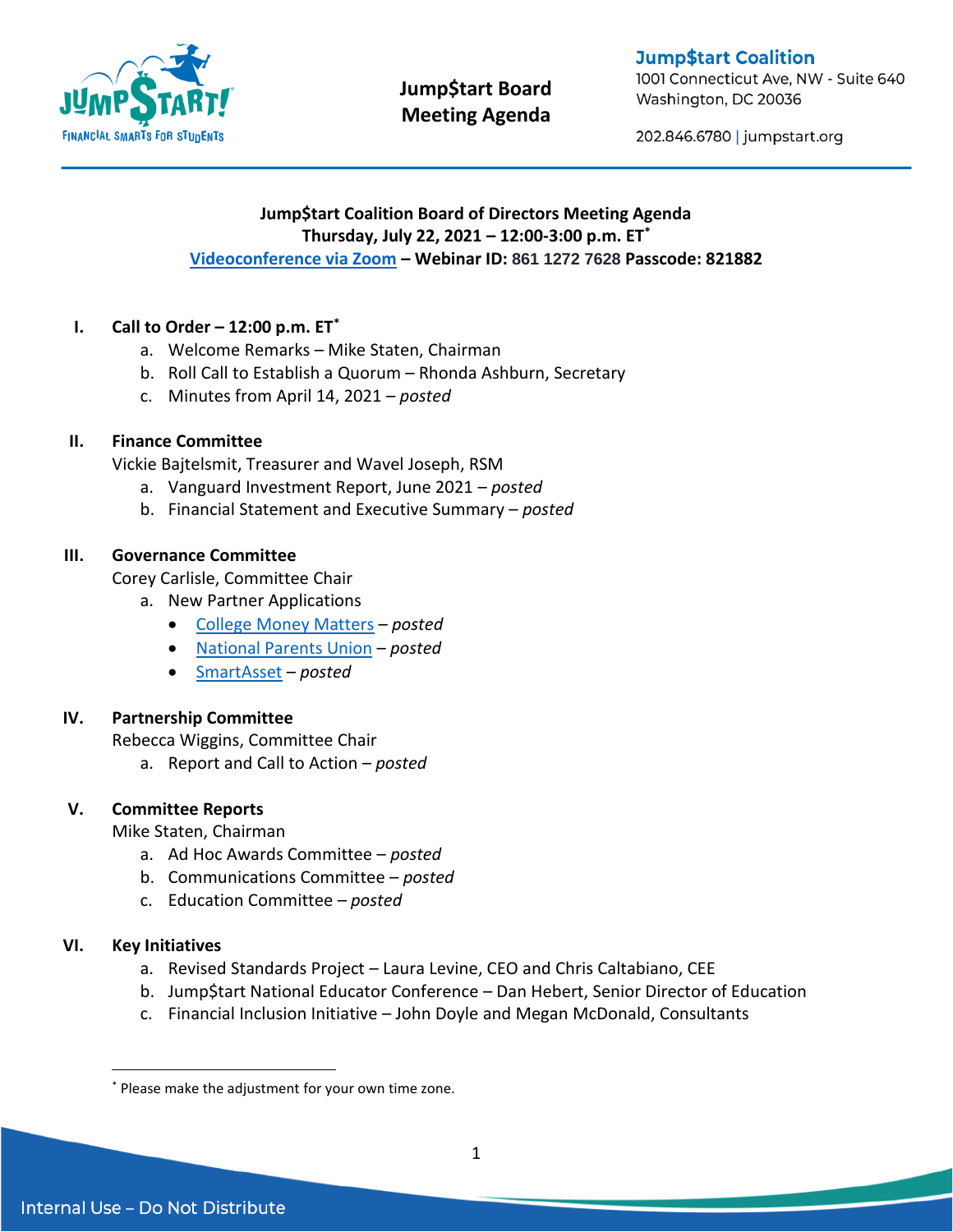

# **Jump\$tart Board Meeting Agenda**

**Jump\$tart Coalition** 

1001 Connecticut Ave, NW - Suite 640 Washington, DC 20036

202.846.6780 | jumpstart.org

## **Jump\$tart Coalition Board of Directors Meeting Agenda Thursday, July 22, 2021 – 12:00-3:00 p.m. ET\* [Videoconference via Zoom](https://us02web.zoom.us/w/86112727628?tk=A3fadk_4E4slL695icET_RE9qiVRSAHC9LkQt6e_fUY.DQIAAAAUDLfyTBZTeVI0WWxCQ1E1Q0M0QlBrYTVsQlB3AAAAAAAAAAAAAAAAAAAAAAAAAAAA&pwd=TktrRDJlTnY1S0tVd2lKUnJ3VjlsQT09#success) – Webinar ID: 861 1272 7628 Passcode: 821882**

# **I. Call to Order – 12:00 p.m. ET\***

- a. Welcome Remarks Mike Staten, Chairman
- b. Roll Call to Establish a Quorum Rhonda Ashburn, Secretary
- c. Minutes from April 14, 2021 *posted*

## **II. Finance Committee**

Vickie Bajtelsmit, Treasurer and Wavel Joseph, RSM

- a. Vanguard Investment Report, June 2021 *posted*
- b. Financial Statement and Executive Summary *posted*

## **III. Governance Committee**

Corey Carlisle, Committee Chair

- a. New Partner Applications
	- [College Money Matters](https://collegemoneymatters.org/) *posted*
	- [National Parents Union](https://nationalparentsunion.org/) *posted*
	- [SmartAsset](https://smartasset.com/) *posted*

# **IV. Partnership Committee**

Rebecca Wiggins, Committee Chair

a. Report and Call to Action – *posted*

# **V. Committee Reports**

Mike Staten, Chairman

- a. Ad Hoc Awards Committee *posted*
- b. Communications Committee *posted*
- c. Education Committee *posted*

#### **VI. Key Initiatives**

 $\overline{a}$ 

- a. Revised Standards Project Laura Levine, CEO and Chris Caltabiano, CEE
- b. Jump\$tart National Educator Conference Dan Hebert, Senior Director of Education
- c. Financial Inclusion Initiative John Doyle and Megan McDonald, Consultants

<sup>\*</sup> Please make the adjustment for your own time zone.